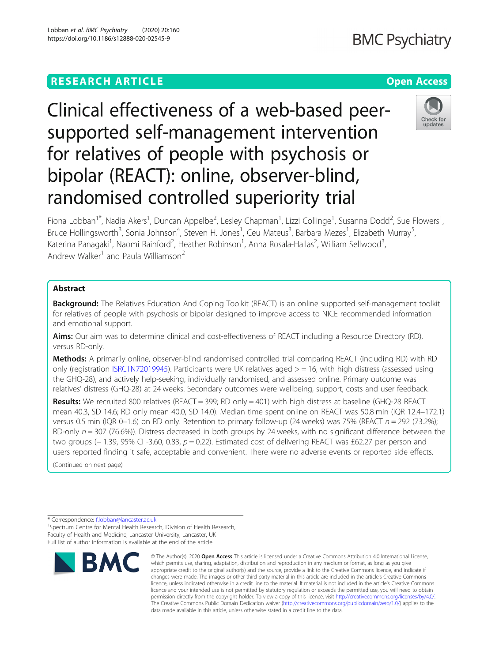Lobban et al. BMC Psychiatry (2020) 20:160 https://doi.org/10.1186/s12888-020-02545-9

# **BMC Psychiatry**

Check for undate

Clinical effectiveness of a web-based peersupported self-management intervention for relatives of people with psychosis or bipolar (REACT): online, observer-blind, randomised controlled superiority trial

Fiona Lobban<sup>1\*</sup>, Nadia Akers<sup>1</sup>, Duncan Appelbe<sup>2</sup>, Lesley Chapman<sup>1</sup>, Lizzi Collinge<sup>1</sup>, Susanna Dodd<sup>2</sup>, Sue Flowers<sup>1</sup> , Bruce Hollingsworth<sup>3</sup>, Sonia Johnson<sup>4</sup>, Steven H. Jones<sup>1</sup>, Ceu Mateus<sup>3</sup>, Barbara Mezes<sup>1</sup>, Elizabeth Murray<sup>5</sup> , Katerina Panagaki<sup>1</sup>, Naomi Rainford<sup>2</sup>, Heather Robinson<sup>1</sup>, Anna Rosala-Hallas<sup>2</sup>, William Sellwood<sup>3</sup> , Andrew Walker<sup>1</sup> and Paula Williamson<sup>2</sup>

# Abstract

Background: The Relatives Education And Coping Toolkit (REACT) is an online supported self-management toolkit for relatives of people with psychosis or bipolar designed to improve access to NICE recommended information and emotional support.

Aims: Our aim was to determine clinical and cost-effectiveness of REACT including a Resource Directory (RD), versus RD-only.

Methods: A primarily online, observer-blind randomised controlled trial comparing REACT (including RD) with RD only (registration [ISRCTN72019945\)](http://www.isrctn.com/ISRCTN72019945). Participants were UK relatives aged  $>$  = 16, with high distress (assessed using the GHQ-28), and actively help-seeking, individually randomised, and assessed online. Primary outcome was relatives' distress (GHQ-28) at 24 weeks. Secondary outcomes were wellbeing, support, costs and user feedback.

**Results:** We recruited 800 relatives (REACT = 399; RD only = 401) with high distress at baseline (GHQ-28 REACT mean 40.3, SD 14.6; RD only mean 40.0, SD 14.0). Median time spent online on REACT was 50.8 min (IQR 12.4–172.1) versus 0.5 min (IQR 0–1.6) on RD only. Retention to primary follow-up (24 weeks) was 75% (REACT  $n = 292$  (73.2%); RD-only  $n = 307$  (76.6%)). Distress decreased in both groups by 24 weeks, with no significant difference between the two groups (− 1.39, 95% CI -3.60, 0.83, p = 0.22). Estimated cost of delivering REACT was £62.27 per person and users reported finding it safe, acceptable and convenient. There were no adverse events or reported side effects.

(Continued on next page)

<sup>1</sup> Spectrum Centre for Mental Health Research, Division of Health Research, Faculty of Health and Medicine, Lancaster University, Lancaster, UK Full list of author information is available at the end of the article



<sup>©</sup> The Author(s), 2020 **Open Access** This article is licensed under a Creative Commons Attribution 4.0 International License, which permits use, sharing, adaptation, distribution and reproduction in any medium or format, as long as you give appropriate credit to the original author(s) and the source, provide a link to the Creative Commons licence, and indicate if changes were made. The images or other third party material in this article are included in the article's Creative Commons licence, unless indicated otherwise in a credit line to the material. If material is not included in the article's Creative Commons licence and your intended use is not permitted by statutory regulation or exceeds the permitted use, you will need to obtain permission directly from the copyright holder. To view a copy of this licence, visit [http://creativecommons.org/licenses/by/4.0/.](http://creativecommons.org/licenses/by/4.0/) The Creative Commons Public Domain Dedication waiver [\(http://creativecommons.org/publicdomain/zero/1.0/](http://creativecommons.org/publicdomain/zero/1.0/)) applies to the data made available in this article, unless otherwise stated in a credit line to the data.

<sup>\*</sup> Correspondence: [f.lobban@lancaster.ac.uk](mailto:f.lobban@lancaster.ac.uk) <sup>1</sup>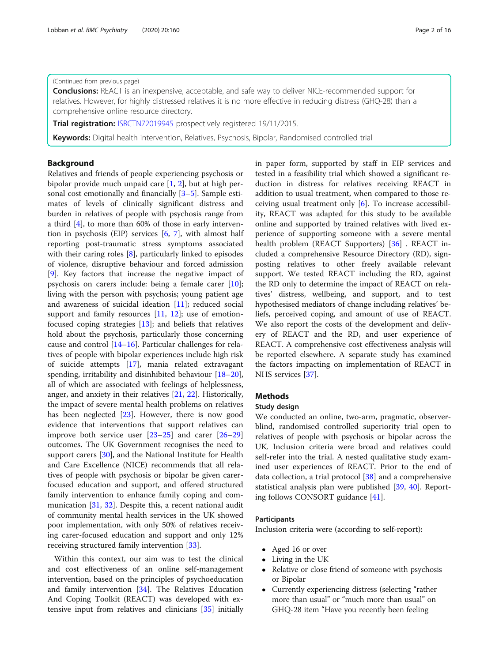## (Continued from previous page)

**Conclusions:** REACT is an inexpensive, acceptable, and safe way to deliver NICE-recommended support for relatives. However, for highly distressed relatives it is no more effective in reducing distress (GHQ-28) than a comprehensive online resource directory.

Trial registration: [ISRCTN72019945](http://www.isrctn.com/ISRCTN72019945) prospectively registered 19/11/2015.

Keywords: Digital health intervention, Relatives, Psychosis, Bipolar, Randomised controlled trial

# Background

Relatives and friends of people experiencing psychosis or bipolar provide much unpaid care [\[1](#page-14-0), [2](#page-14-0)], but at high personal cost emotionally and financially [\[3](#page-14-0)–[5](#page-14-0)]. Sample estimates of levels of clinically significant distress and burden in relatives of people with psychosis range from a third [[4\]](#page-14-0), to more than 60% of those in early intervention in psychosis (EIP) services [[6,](#page-14-0) [7](#page-14-0)], with almost half reporting post-traumatic stress symptoms associated with their caring roles [[8\]](#page-14-0), particularly linked to episodes of violence, disruptive behaviour and forced admission [[9\]](#page-14-0). Key factors that increase the negative impact of psychosis on carers include: being a female carer [\[10](#page-14-0)]; living with the person with psychosis; young patient age and awareness of suicidal ideation [[11\]](#page-14-0); reduced social support and family resources [\[11](#page-14-0), [12](#page-14-0)]; use of emotionfocused coping strategies [[13\]](#page-14-0); and beliefs that relatives hold about the psychosis, particularly those concerning cause and control [[14](#page-14-0)–[16](#page-14-0)]. Particular challenges for relatives of people with bipolar experiences include high risk of suicide attempts [[17](#page-14-0)], mania related extravagant spending, irritability and disinhibited behaviour [[18](#page-14-0)–[20](#page-14-0)], all of which are associated with feelings of helplessness, anger, and anxiety in their relatives [\[21](#page-14-0), [22](#page-14-0)]. Historically, the impact of severe mental health problems on relatives has been neglected [[23](#page-14-0)]. However, there is now good evidence that interventions that support relatives can improve both service user [\[23](#page-14-0)–[25\]](#page-14-0) and carer [[26](#page-14-0)–[29](#page-14-0)] outcomes. The UK Government recognises the need to support carers [[30](#page-14-0)], and the National Institute for Health and Care Excellence (NICE) recommends that all relatives of people with psychosis or bipolar be given carerfocused education and support, and offered structured family intervention to enhance family coping and communication [[31](#page-14-0), [32\]](#page-14-0). Despite this, a recent national audit of community mental health services in the UK showed poor implementation, with only 50% of relatives receiving carer-focused education and support and only 12% receiving structured family intervention [\[33\]](#page-14-0).

Within this context, our aim was to test the clinical and cost effectiveness of an online self-management intervention, based on the principles of psychoeducation and family intervention [[34\]](#page-14-0). The Relatives Education And Coping Toolkit (REACT) was developed with extensive input from relatives and clinicians [[35\]](#page-14-0) initially in paper form, supported by staff in EIP services and tested in a feasibility trial which showed a significant reduction in distress for relatives receiving REACT in addition to usual treatment, when compared to those receiving usual treatment only [[6\]](#page-14-0). To increase accessibility, REACT was adapted for this study to be available online and supported by trained relatives with lived experience of supporting someone with a severe mental health problem (REACT Supporters) [\[36](#page-14-0)] . REACT included a comprehensive Resource Directory (RD), signposting relatives to other freely available relevant support. We tested REACT including the RD, against the RD only to determine the impact of REACT on relatives' distress, wellbeing, and support, and to test hypothesised mediators of change including relatives' beliefs, perceived coping, and amount of use of REACT. We also report the costs of the development and delivery of REACT and the RD, and user experience of REACT. A comprehensive cost effectiveness analysis will be reported elsewhere. A separate study has examined the factors impacting on implementation of REACT in NHS services [\[37](#page-14-0)].

# Methods

# Study design

We conducted an online, two-arm, pragmatic, observerblind, randomised controlled superiority trial open to relatives of people with psychosis or bipolar across the UK. Inclusion criteria were broad and relatives could self-refer into the trial. A nested qualitative study examined user experiences of REACT. Prior to the end of data collection, a trial protocol [\[38](#page-14-0)] and a comprehensive statistical analysis plan were published [[39](#page-14-0), [40](#page-15-0)]. Reporting follows CONSORT guidance [[41](#page-15-0)].

#### Participants

Inclusion criteria were (according to self-report):

- Aged 16 or over
- Living in the UK
- Relative or close friend of someone with psychosis or Bipolar
- Currently experiencing distress (selecting "rather more than usual" or "much more than usual" on GHQ-28 item "Have you recently been feeling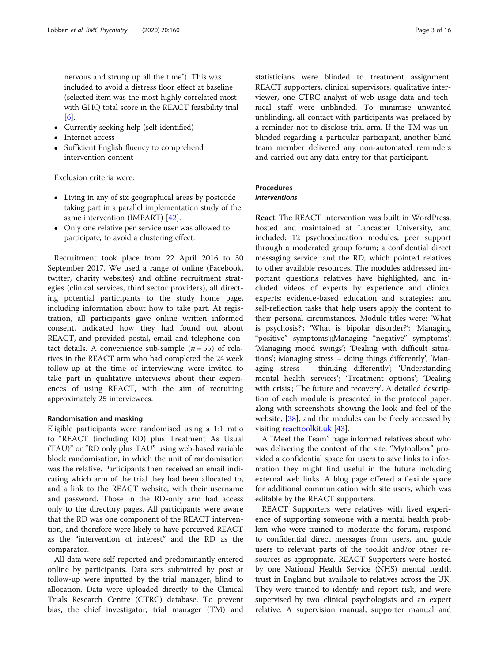nervous and strung up all the time"). This was included to avoid a distress floor effect at baseline (selected item was the most highly correlated most with GHQ total score in the REACT feasibility trial [[6\]](#page-14-0).

- Currently seeking help (self-identified)
- Internet access
- Sufficient English fluency to comprehend intervention content

Exclusion criteria were:

- Living in any of six geographical areas by postcode taking part in a parallel implementation study of the same intervention (IMPART) [\[42\]](#page-15-0).
- Only one relative per service user was allowed to participate, to avoid a clustering effect.

Recruitment took place from 22 April 2016 to 30 September 2017. We used a range of online (Facebook, twitter, charity websites) and offline recruitment strategies (clinical services, third sector providers), all directing potential participants to the study home page, including information about how to take part. At registration, all participants gave online written informed consent, indicated how they had found out about REACT, and provided postal, email and telephone contact details. A convenience sub-sample  $(n = 55)$  of relatives in the REACT arm who had completed the 24 week follow-up at the time of interviewing were invited to take part in qualitative interviews about their experiences of using REACT, with the aim of recruiting approximately 25 interviewees.

# Randomisation and masking

Eligible participants were randomised using a 1:1 ratio to "REACT (including RD) plus Treatment As Usual (TAU)" or "RD only plus TAU" using web-based variable block randomisation, in which the unit of randomisation was the relative. Participants then received an email indicating which arm of the trial they had been allocated to, and a link to the REACT website, with their username and password. Those in the RD-only arm had access only to the directory pages. All participants were aware that the RD was one component of the REACT intervention, and therefore were likely to have perceived REACT as the "intervention of interest" and the RD as the comparator.

All data were self-reported and predominantly entered online by participants. Data sets submitted by post at follow-up were inputted by the trial manager, blind to allocation. Data were uploaded directly to the Clinical Trials Research Centre (CTRC) database. To prevent bias, the chief investigator, trial manager (TM) and statisticians were blinded to treatment assignment. REACT supporters, clinical supervisors, qualitative interviewer, one CTRC analyst of web usage data and technical staff were unblinded. To minimise unwanted unblinding, all contact with participants was prefaced by a reminder not to disclose trial arm. If the TM was unblinded regarding a particular participant, another blind team member delivered any non-automated reminders and carried out any data entry for that participant.

# Procedures

# Interventions

React The REACT intervention was built in WordPress, hosted and maintained at Lancaster University, and included: 12 psychoeducation modules; peer support through a moderated group forum; a confidential direct messaging service; and the RD, which pointed relatives to other available resources. The modules addressed important questions relatives have highlighted, and included videos of experts by experience and clinical experts; evidence-based education and strategies; and self-reflection tasks that help users apply the content to their personal circumstances. Module titles were: 'What is psychosis?'; 'What is bipolar disorder?'; 'Managing "positive" symptoms';;Managing "negative" symptoms'; 'Managing mood swings'; 'Dealing with difficult situations'; Managing stress – doing things differently'; 'Managing stress – thinking differently'; 'Understanding mental health services'; 'Treatment options'; 'Dealing with crisis'; The future and recovery'. A detailed description of each module is presented in the protocol paper, along with screenshots showing the look and feel of the website, [[38](#page-14-0)], and the modules can be freely accessed by visiting [reacttoolkit.uk](https://reacttoolkit.uk/) [[43\]](#page-15-0).

A "Meet the Team" page informed relatives about who was delivering the content of the site. "Mytoolbox" provided a confidential space for users to save links to information they might find useful in the future including external web links. A blog page offered a flexible space for additional communication with site users, which was editable by the REACT supporters.

REACT Supporters were relatives with lived experience of supporting someone with a mental health problem who were trained to moderate the forum, respond to confidential direct messages from users, and guide users to relevant parts of the toolkit and/or other resources as appropriate. REACT Supporters were hosted by one National Health Service (NHS) mental health trust in England but available to relatives across the UK. They were trained to identify and report risk, and were supervised by two clinical psychologists and an expert relative. A supervision manual, supporter manual and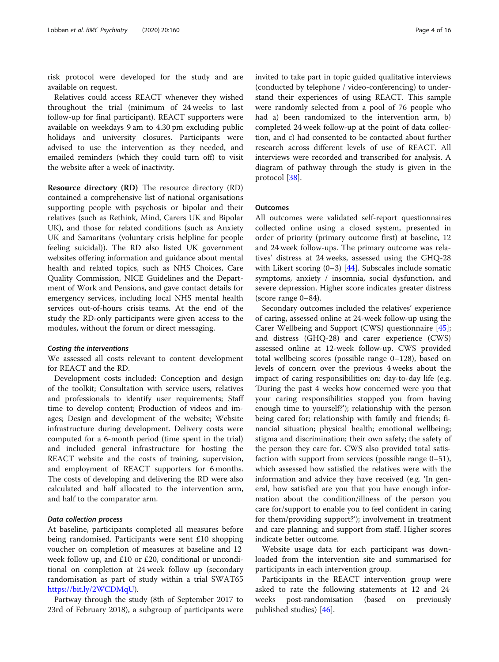risk protocol were developed for the study and are available on request.

Relatives could access REACT whenever they wished throughout the trial (minimum of 24 weeks to last follow-up for final participant). REACT supporters were available on weekdays 9 am to 4.30 pm excluding public holidays and university closures. Participants were advised to use the intervention as they needed, and emailed reminders (which they could turn off) to visit the website after a week of inactivity.

Resource directory (RD) The resource directory (RD) contained a comprehensive list of national organisations supporting people with psychosis or bipolar and their relatives (such as Rethink, Mind, Carers UK and Bipolar UK), and those for related conditions (such as Anxiety UK and Samaritans (voluntary crisis helpline for people feeling suicidal)). The RD also listed UK government websites offering information and guidance about mental health and related topics, such as NHS Choices, Care Quality Commission, NICE Guidelines and the Department of Work and Pensions, and gave contact details for emergency services, including local NHS mental health services out-of-hours crisis teams. At the end of the study the RD-only participants were given access to the modules, without the forum or direct messaging.

#### Costing the interventions

We assessed all costs relevant to content development for REACT and the RD.

Development costs included: Conception and design of the toolkit; Consultation with service users, relatives and professionals to identify user requirements; Staff time to develop content; Production of videos and images; Design and development of the website; Website infrastructure during development. Delivery costs were computed for a 6-month period (time spent in the trial) and included general infrastructure for hosting the REACT website and the costs of training, supervision, and employment of REACT supporters for 6 months. The costs of developing and delivering the RD were also calculated and half allocated to the intervention arm, and half to the comparator arm.

# Data collection process

At baseline, participants completed all measures before being randomised. Participants were sent £10 shopping voucher on completion of measures at baseline and 12 week follow up, and £10 or £20, conditional or unconditional on completion at 24 week follow up (secondary randomisation as part of study within a trial SWAT65 <https://bit.ly/2WCDMqU>).

Partway through the study (8th of September 2017 to 23rd of February 2018), a subgroup of participants were invited to take part in topic guided qualitative interviews (conducted by telephone / video-conferencing) to understand their experiences of using REACT. This sample were randomly selected from a pool of 76 people who had a) been randomized to the intervention arm, b) completed 24 week follow-up at the point of data collection, and c) had consented to be contacted about further research across different levels of use of REACT. All interviews were recorded and transcribed for analysis. A diagram of pathway through the study is given in the protocol [\[38](#page-14-0)].

# **Outcomes**

All outcomes were validated self-report questionnaires collected online using a closed system, presented in order of priority (primary outcome first) at baseline, 12 and 24 week follow-ups. The primary outcome was relatives' distress at 24 weeks, assessed using the GHQ-28 with Likert scoring  $(0-3)$  [\[44\]](#page-15-0). Subscales include somatic symptoms, anxiety / insomnia, social dysfunction, and severe depression. Higher score indicates greater distress (score range 0–84).

Secondary outcomes included the relatives' experience of caring, assessed online at 24-week follow-up using the Carer Wellbeing and Support (CWS) questionnaire [\[45](#page-15-0)]; and distress (GHQ-28) and carer experience (CWS) assessed online at 12-week follow-up. CWS provided total wellbeing scores (possible range 0–128), based on levels of concern over the previous 4 weeks about the impact of caring responsibilities on: day-to-day life (e.g. 'During the past 4 weeks how concerned were you that your caring responsibilities stopped you from having enough time to yourself?'); relationship with the person being cared for; relationship with family and friends; financial situation; physical health; emotional wellbeing; stigma and discrimination; their own safety; the safety of the person they care for. CWS also provided total satisfaction with support from services (possible range 0–51), which assessed how satisfied the relatives were with the information and advice they have received (e.g. 'In general, how satisfied are you that you have enough information about the condition/illness of the person you care for/support to enable you to feel confident in caring for them/providing support?'); involvement in treatment and care planning; and support from staff. Higher scores indicate better outcome.

Website usage data for each participant was downloaded from the intervention site and summarised for participants in each intervention group.

Participants in the REACT intervention group were asked to rate the following statements at 12 and 24 weeks post-randomisation (based on previously published studies) [[46](#page-15-0)].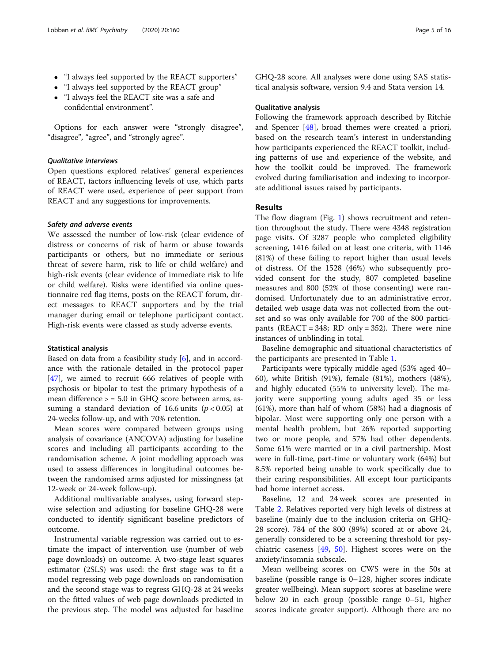- "I always feel supported by the REACT supporters"
- "I always feel supported by the REACT group"
- "I always feel the REACT site was a safe and confidential environment".

Options for each answer were "strongly disagree", "disagree", "agree", and "strongly agree".

#### Qualitative interviews

Open questions explored relatives' general experiences of REACT, factors influencing levels of use, which parts of REACT were used, experience of peer support from REACT and any suggestions for improvements.

#### Safety and adverse events

We assessed the number of low-risk (clear evidence of distress or concerns of risk of harm or abuse towards participants or others, but no immediate or serious threat of severe harm, risk to life or child welfare) and high-risk events (clear evidence of immediate risk to life or child welfare). Risks were identified via online questionnaire red flag items, posts on the REACT forum, direct messages to REACT supporters and by the trial manager during email or telephone participant contact. High-risk events were classed as study adverse events.

#### Statistical analysis

Based on data from a feasibility study [\[6](#page-14-0)], and in accordance with the rationale detailed in the protocol paper [[47\]](#page-15-0), we aimed to recruit 666 relatives of people with psychosis or bipolar to test the primary hypothesis of a mean difference  $>$  = 5.0 in GHQ score between arms, assuming a standard deviation of 16.6 units ( $p < 0.05$ ) at 24-weeks follow-up, and with 70% retention.

Mean scores were compared between groups using analysis of covariance (ANCOVA) adjusting for baseline scores and including all participants according to the randomisation scheme. A joint modelling approach was used to assess differences in longitudinal outcomes between the randomised arms adjusted for missingness (at 12-week or 24-week follow-up).

Additional multivariable analyses, using forward stepwise selection and adjusting for baseline GHQ-28 were conducted to identify significant baseline predictors of outcome.

Instrumental variable regression was carried out to estimate the impact of intervention use (number of web page downloads) on outcome. A two-stage least squares estimator (2SLS) was used: the first stage was to fit a model regressing web page downloads on randomisation and the second stage was to regress GHQ-28 at 24 weeks on the fitted values of web page downloads predicted in the previous step. The model was adjusted for baseline GHQ-28 score. All analyses were done using SAS statistical analysis software, version 9.4 and Stata version 14.

#### Qualitative analysis

Following the framework approach described by Ritchie and Spencer [[48\]](#page-15-0), broad themes were created a priori, based on the research team's interest in understanding how participants experienced the REACT toolkit, including patterns of use and experience of the website, and how the toolkit could be improved. The framework evolved during familiarisation and indexing to incorporate additional issues raised by participants.

# Results

The flow diagram (Fig. [1](#page-5-0)) shows recruitment and retention throughout the study. There were 4348 registration page visits. Of 3287 people who completed eligibility screening, 1416 failed on at least one criteria, with 1146 (81%) of these failing to report higher than usual levels of distress. Of the 1528 (46%) who subsequently provided consent for the study, 807 completed baseline measures and 800 (52% of those consenting) were randomised. Unfortunately due to an administrative error, detailed web usage data was not collected from the outset and so was only available for 700 of the 800 participants ( $REACT = 348$ ;  $RD$  only = 352). There were nine instances of unblinding in total.

Baseline demographic and situational characteristics of the participants are presented in Table [1](#page-6-0).

Participants were typically middle aged (53% aged 40– 60), white British (91%), female (81%), mothers (48%), and highly educated (55% to university level). The majority were supporting young adults aged 35 or less (61%), more than half of whom (58%) had a diagnosis of bipolar. Most were supporting only one person with a mental health problem, but 26% reported supporting two or more people, and 57% had other dependents. Some 61% were married or in a civil partnership. Most were in full-time, part-time or voluntary work (64%) but 8.5% reported being unable to work specifically due to their caring responsibilities. All except four participants had home internet access.

Baseline, 12 and 24 week scores are presented in Table [2.](#page-8-0) Relatives reported very high levels of distress at baseline (mainly due to the inclusion criteria on GHQ-28 score). 784 of the 800 (89%) scored at or above 24, generally considered to be a screening threshold for psychiatric caseness  $[49, 50]$  $[49, 50]$  $[49, 50]$  $[49, 50]$  $[49, 50]$ . Highest scores were on the anxiety/insomnia subscale.

Mean wellbeing scores on CWS were in the 50s at baseline (possible range is 0–128, higher scores indicate greater wellbeing). Mean support scores at baseline were below 20 in each group (possible range 0–51, higher scores indicate greater support). Although there are no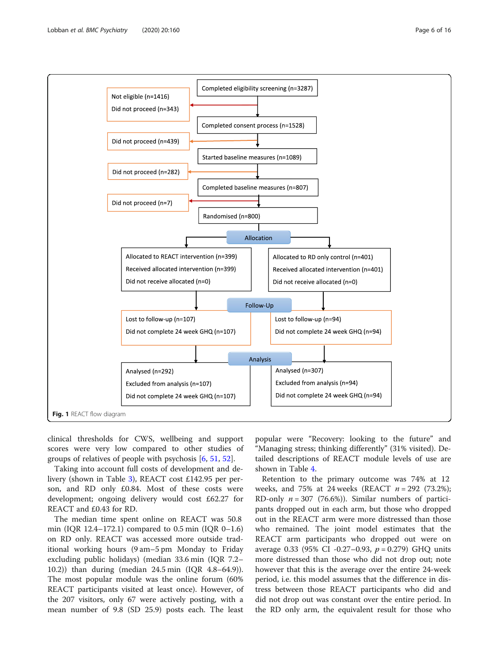<span id="page-5-0"></span>

clinical thresholds for CWS, wellbeing and support scores were very low compared to other studies of groups of relatives of people with psychosis [[6,](#page-14-0) [51,](#page-15-0) [52\]](#page-15-0).

Taking into account full costs of development and delivery (shown in Table [3](#page-9-0)), REACT cost £142.95 per person, and RD only £0.84. Most of these costs were development; ongoing delivery would cost £62.27 for REACT and £0.43 for RD.

The median time spent online on REACT was 50.8 min (IQR 12.4–172.1) compared to 0.5 min (IQR 0–1.6) on RD only. REACT was accessed more outside traditional working hours (9 am–5 pm Monday to Friday excluding public holidays) (median 33.6 min (IQR 7.2– 10.2)) than during (median 24.5 min (IQR 4.8–64.9)). The most popular module was the online forum (60% REACT participants visited at least once). However, of the 207 visitors, only 67 were actively posting, with a mean number of 9.8 (SD 25.9) posts each. The least

popular were "Recovery: looking to the future" and "Managing stress; thinking differently" (31% visited). Detailed descriptions of REACT module levels of use are shown in Table [4.](#page-11-0)

Retention to the primary outcome was 74% at 12 weeks, and 75% at 24 weeks (REACT  $n = 292$  (73.2%); RD-only  $n = 307$  (76.6%)). Similar numbers of participants dropped out in each arm, but those who dropped out in the REACT arm were more distressed than those who remained. The joint model estimates that the REACT arm participants who dropped out were on average 0.33 (95% CI -0.27–0.93,  $p = 0.279$ ) GHQ units more distressed than those who did not drop out; note however that this is the average over the entire 24-week period, i.e. this model assumes that the difference in distress between those REACT participants who did and did not drop out was constant over the entire period. In the RD only arm, the equivalent result for those who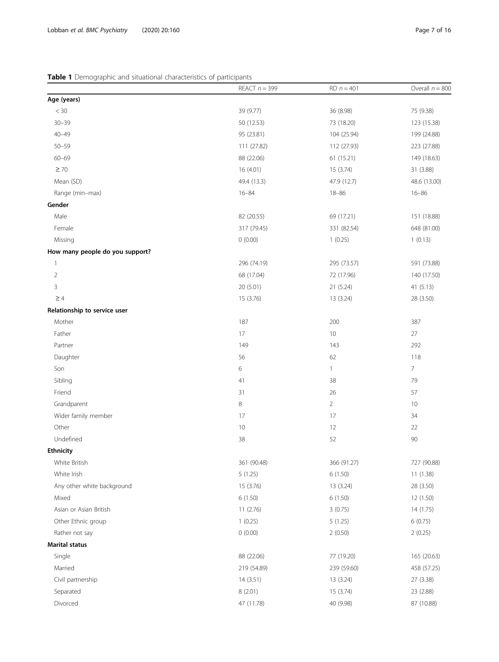# <span id="page-6-0"></span>Table 1 Demographic and situational characteristics of participants

|                                 | REACT $n = 399$ | $RD$ $n = 401$ | Overall $n = 800$ |
|---------------------------------|-----------------|----------------|-------------------|
| Age (years)                     |                 |                |                   |
| $< 30$                          | 39 (9.77)       | 36 (8.98)      | 75 (9.38)         |
| $30 - 39$                       | 50 (12.53)      | 73 (18.20)     | 123 (15.38)       |
| $40 - 49$                       | 95 (23.81)      | 104 (25.94)    | 199 (24.88)       |
| $50 - 59$                       | 111 (27.82)     | 112 (27.93)    | 223 (27.88)       |
| $60 - 69$                       | 88 (22.06)      | 61 (15.21)     | 149 (18.63)       |
| $\geq 70$                       | 16 (4.01)       | 15 (3.74)      | 31 (3.88)         |
| Mean (SD)                       | 49.4 (13.3)     | 47.9 (12.7)    | 48.6 (13.00)      |
| Range (min-max)                 | $16 - 84$       | $18 - 86$      | $16 - 86$         |
| Gender                          |                 |                |                   |
| Male                            | 82 (20.55)      | 69 (17.21)     | 151 (18.88)       |
| Female                          | 317 (79.45)     | 331 (82.54)    | 648 (81.00)       |
| Missing                         | 0(0.00)         | 1(0.25)        | 1(0.13)           |
| How many people do you support? |                 |                |                   |
| $\mathbf{1}$                    | 296 (74.19)     | 295 (73.57)    | 591 (73.88)       |
| $\overline{2}$                  | 68 (17.04)      | 72 (17.96)     | 140 (17.50)       |
| 3                               | 20 (5.01)       | 21 (5.24)      | 41 (5.13)         |
| $\geq 4$                        | 15 (3.76)       | 13 (3.24)      | 28 (3.50)         |
| Relationship to service user    |                 |                |                   |
| Mother                          | 187             | 200            | 387               |
| Father                          | 17              | 10             | $27\,$            |
| Partner                         | 149             | 143            | 292               |
| Daughter                        | 56              | 62             | 118               |
| Son                             | 6               | $\mathbf{1}$   | $\overline{7}$    |
| Sibling                         | 41              | 38             | 79                |
| Friend                          | 31              | 26             | 57                |
| Grandparent                     | $\,8\,$         | $\overline{2}$ | 10                |
| Wider family member             | 17              | 17             | 34                |
| Other                           | 10              | 12             | 22                |
| Undefined                       | 38              | 52             | $90\,$            |
| <b>Ethnicity</b>                |                 |                |                   |
| White British                   | 361 (90.48)     | 366 (91.27)    | 727 (90.88)       |
| White Irish                     | 5(1.25)         | 6(1.50)        | 11 (1.38)         |
| Any other white background      | 15 (3.76)       | 13 (3.24)      | 28 (3.50)         |
| Mixed                           | 6(1.50)         | 6(1.50)        | 12 (1.50)         |
| Asian or Asian British          | 11(2.76)        | 3(0.75)        | 14 (1.75)         |
| Other Ethnic group              | 1(0.25)         | 5(1.25)        | 6(0.75)           |
| Rather not say                  | 0(0.00)         | 2(0.50)        | 2(0.25)           |
| <b>Marital status</b>           |                 |                |                   |
| Single                          | 88 (22.06)      | 77 (19.20)     | 165 (20.63)       |
| Married                         | 219 (54.89)     | 239 (59.60)    | 458 (57.25)       |
| Civil partnership               | 14(3.51)        | 13 (3.24)      | 27 (3.38)         |
| Separated                       | 8(2.01)         | 15 (3.74)      | 23 (2.88)         |
| Divorced                        | 47 (11.78)      | 40 (9.98)      | 87 (10.88)        |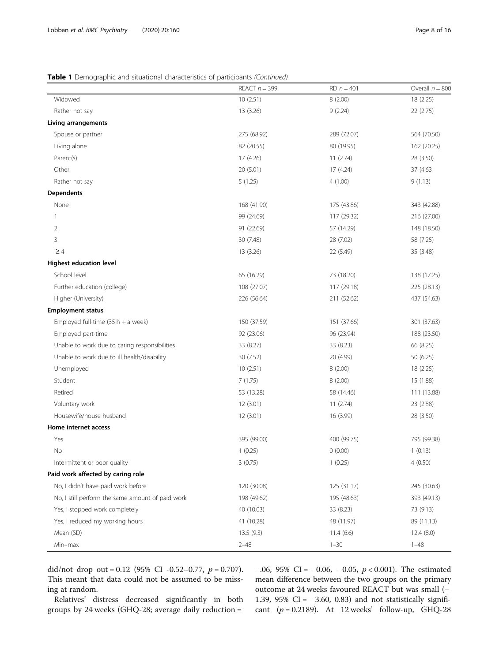# Table 1 Demographic and situational characteristics of participants (Continued)

|                                                  | REACT $n = 399$ | $RD$ $n = 401$ | Overall $n = 800$ |
|--------------------------------------------------|-----------------|----------------|-------------------|
| Widowed                                          | 10(2.51)        | 8 (2.00)       | 18 (2.25)         |
| Rather not say                                   | 13 (3.26)       | 9(2.24)        | 22 (2.75)         |
| Living arrangements                              |                 |                |                   |
| Spouse or partner                                | 275 (68.92)     | 289 (72.07)    | 564 (70.50)       |
| Living alone                                     | 82 (20.55)      | 80 (19.95)     | 162 (20.25)       |
| Parent(s)                                        | 17 (4.26)       | 11(2.74)       | 28 (3.50)         |
| Other                                            | 20 (5.01)       | 17 (4.24)      | 37 (4.63          |
| Rather not say                                   | 5(1.25)         | 4(1.00)        | 9(1.13)           |
| Dependents                                       |                 |                |                   |
| None                                             | 168 (41.90)     | 175 (43.86)    | 343 (42.88)       |
| 1                                                | 99 (24.69)      | 117 (29.32)    | 216 (27.00)       |
| $\overline{2}$                                   | 91 (22.69)      | 57 (14.29)     | 148 (18.50)       |
| 3                                                | 30 (7.48)       | 28 (7.02)      | 58 (7.25)         |
| $\geq 4$                                         | 13 (3.26)       | 22 (5.49)      | 35 (3.48)         |
| <b>Highest education level</b>                   |                 |                |                   |
| School level                                     | 65 (16.29)      | 73 (18.20)     | 138 (17.25)       |
| Further education (college)                      | 108 (27.07)     | 117 (29.18)    | 225 (28.13)       |
| Higher (University)                              | 226 (56.64)     | 211 (52.62)    | 437 (54.63)       |
| <b>Employment status</b>                         |                 |                |                   |
| Employed full-time (35 h + a week)               | 150 (37.59)     | 151 (37.66)    | 301 (37.63)       |
| Employed part-time                               | 92 (23.06)      | 96 (23.94)     | 188 (23.50)       |
| Unable to work due to caring responsibilities    | 33 (8.27)       | 33 (8.23)      | 66 (8.25)         |
| Unable to work due to ill health/disability      | 30 (7.52)       | 20 (4.99)      | 50 (6.25)         |
| Unemployed                                       | 10(2.51)        | 8(2.00)        | 18 (2.25)         |
| Student                                          | 7(1.75)         | 8(2.00)        | 15 (1.88)         |
| Retired                                          | 53 (13.28)      | 58 (14.46)     | 111 (13.88)       |
| Voluntary work                                   | 12(3.01)        | 11(2.74)       | 23 (2.88)         |
| Housewife/house husband                          | 12(3.01)        | 16 (3.99)      | 28 (3.50)         |
| Home internet access                             |                 |                |                   |
| Yes                                              | 395 (99.00)     | 400 (99.75)    | 795 (99.38)       |
| No                                               | 1(0.25)         | 0(0.00)        | 1(0.13)           |
| Intermittent or poor quality                     | 3(0.75)         | 1(0.25)        | 4(0.50)           |
| Paid work affected by caring role                |                 |                |                   |
| No, I didn't have paid work before               | 120 (30.08)     | 125 (31.17)    | 245 (30.63)       |
| No, I still perform the same amount of paid work | 198 (49.62)     | 195 (48.63)    | 393 (49.13)       |
| Yes, I stopped work completely                   | 40 (10.03)      | 33 (8.23)      | 73 (9.13)         |
| Yes, I reduced my working hours                  | 41 (10.28)      | 48 (11.97)     | 89 (11.13)        |
| Mean (SD)                                        | 13.5(9.3)       | 11.4(6.6)      | 12.4(8.0)         |
| Min-max                                          | $2 - 48$        | $1 - 30$       | $1 - 48$          |

did/not drop out = 0.12 (95% CI -0.52–0.77,  $p = 0.707$ ). This meant that data could not be assumed to be missing at random.

Relatives' distress decreased significantly in both groups by 24 weeks (GHQ-28; average daily reduction =

−.06, 95% CI = − 0.06, − 0.05, p < 0.001). The estimated mean difference between the two groups on the primary outcome at 24 weeks favoured REACT but was small (− 1.39, 95% CI = − 3.60, 0.83) and not statistically significant  $(p = 0.2189)$ . At 12 weeks' follow-up, GHQ-28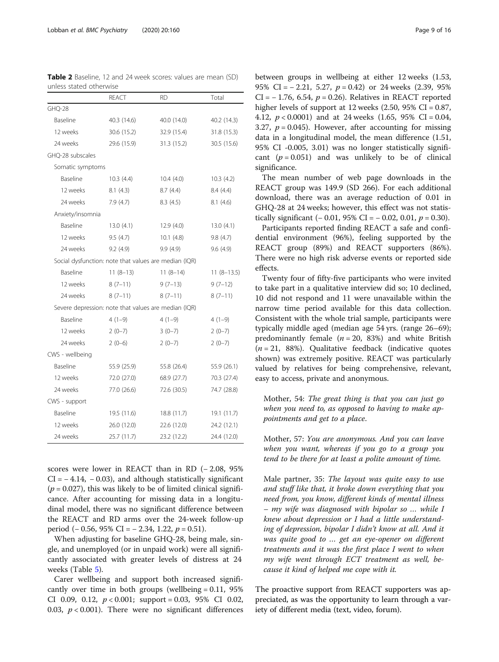|                  | <b>REACT</b>                                          | <b>RD</b>   | Total        |
|------------------|-------------------------------------------------------|-------------|--------------|
| GHQ-28           |                                                       |             |              |
| Baseline         | 40.3 (14.6)                                           | 40.0 (14.0) | 40.2 (14.3)  |
| 12 weeks         | 30.6 (15.2)                                           | 32.9 (15.4) | 31.8 (15.3)  |
| 24 weeks         | 29.6 (15.9)                                           | 31.3 (15.2) | 30.5 (15.6)  |
| GHQ-28 subscales |                                                       |             |              |
| Somatic symptoms |                                                       |             |              |
| Baseline         | 10.3(4.4)                                             | 10.4(4.0)   | 10.3(4.2)    |
| 12 weeks         | 8.1(4.3)                                              | 8.7(4.4)    | 8.4(4.4)     |
| 24 weeks         | 7.9(4.7)                                              | 8.3(4.5)    | 8.1(4.6)     |
| Anxiety/insomnia |                                                       |             |              |
| Baseline         | 13.0(4.1)                                             | 12.9 (4.0)  | 13.0(4.1)    |
| 12 weeks         | 9.5(4.7)                                              | 10.1(4.8)   | 9.8(4.7)     |
| 24 weeks         | 9.2(4.9)                                              | 9.9(4.9)    | 9.6(4.9)     |
|                  | Social dysfunction: note that values are median (IQR) |             |              |
| Baseline         | $11(8-13)$                                            | $11(8-14)$  | $11(8-13.5)$ |
| 12 weeks         | $8(7-11)$                                             | $9(7-13)$   | $9(7-12)$    |
| 24 weeks         | $8(7-11)$                                             | $8(7-11)$   | $8(7-11)$    |
|                  | Severe depression: note that values are median (IQR)  |             |              |
| Baseline         | $4(1-9)$                                              | $4(1-9)$    | $4(1-9)$     |
| 12 weeks         | $2(0-7)$                                              | $3(0-7)$    | $2(0-7)$     |
| 24 weeks         | $2(0-6)$                                              | $2(0-7)$    | $2(0-7)$     |
| CWS - wellbeing  |                                                       |             |              |
| Baseline         | 55.9 (25.9)                                           | 55.8 (26.4) | 55.9 (26.1)  |
| 12 weeks         | 72.0 (27.0)                                           | 68.9 (27.7) | 70.3 (27.4)  |
| 24 weeks         | 77.0 (26.6)                                           | 72.6 (30.5) | 74.7 (28.8)  |
| CWS - support    |                                                       |             |              |
| Baseline         | 19.5 (11.6)                                           | 18.8 (11.7) | 19.1(11.7)   |
| 12 weeks         | 26.0 (12.0)                                           | 22.6 (12.0) | 24.2 (12.1)  |
| 24 weeks         | 25.7 (11.7)                                           | 23.2 (12.2) | 24.4 (12.0)  |

<span id="page-8-0"></span>Table 2 Baseline, 12 and 24 week scores: values are mean (SD) unless stated otherwise

scores were lower in REACT than in RD (−2.08, 95%  $CI = -4.14$ ,  $-0.03$ ), and although statistically significant  $(p = 0.027)$ , this was likely to be of limited clinical significance. After accounting for missing data in a longitudinal model, there was no significant difference between the REACT and RD arms over the 24-week follow-up period (− 0.56, 95% CI = − 2.34, 1.22,  $p = 0.51$ ).

When adjusting for baseline GHQ-28, being male, single, and unemployed (or in unpaid work) were all significantly associated with greater levels of distress at 24 weeks (Table [5\)](#page-12-0).

Carer wellbeing and support both increased significantly over time in both groups (wellbeing  $= 0.11, 95\%$ CI 0.09, 0.12,  $p < 0.001$ ; support = 0.03, 95% CI 0.02, 0.03,  $p < 0.001$ ). There were no significant differences between groups in wellbeing at either 12 weeks (1.53, 95% CI =  $-$  2.21, 5.27,  $p = 0.42$  or 24 weeks (2.39, 95%) CI =  $-1.76$ , 6.54,  $p = 0.26$ ). Relatives in REACT reported higher levels of support at 12 weeks  $(2.50, 95\% \text{ CI} = 0.87,$ 4.12,  $p < 0.0001$ ) and at 24 weeks (1.65, 95% CI = 0.04, 3.27,  $p = 0.045$ ). However, after accounting for missing data in a longitudinal model, the mean difference (1.51, 95% CI -0.005, 3.01) was no longer statistically significant  $(p = 0.051)$  and was unlikely to be of clinical significance.

The mean number of web page downloads in the REACT group was 149.9 (SD 266). For each additional download, there was an average reduction of 0.01 in GHQ-28 at 24 weeks; however, this effect was not statistically significant  $(-0.01, 95\% \text{ CI} = -0.02, 0.01, p = 0.30)$ .

Participants reported finding REACT a safe and confidential environment (96%), feeling supported by the REACT group (89%) and REACT supporters (86%). There were no high risk adverse events or reported side effects.

Twenty four of fifty-five participants who were invited to take part in a qualitative interview did so; 10 declined, 10 did not respond and 11 were unavailable within the narrow time period available for this data collection. Consistent with the whole trial sample, participants were typically middle aged (median age 54 yrs. (range 26–69); predominantly female  $(n = 20, 83%)$  and white British  $(n = 21, 88\%)$ . Qualitative feedback (indicative quotes shown) was extremely positive. REACT was particularly valued by relatives for being comprehensive, relevant, easy to access, private and anonymous.

Mother, 54: The great thing is that you can just go when you need to, as opposed to having to make appointments and get to a place.

Mother, 57: You are anonymous. And you can leave when you want, whereas if you go to a group you tend to be there for at least a polite amount of time.

Male partner, 35: The layout was quite easy to use and stuff like that, it broke down everything that you need from, you know, different kinds of mental illness – my wife was diagnosed with bipolar so … while I knew about depression or I had a little understanding of depression, bipolar I didn't know at all. And it was quite good to … get an eye-opener on different treatments and it was the first place I went to when my wife went through ECT treatment as well, because it kind of helped me cope with it.

The proactive support from REACT supporters was appreciated, as was the opportunity to learn through a variety of different media (text, video, forum).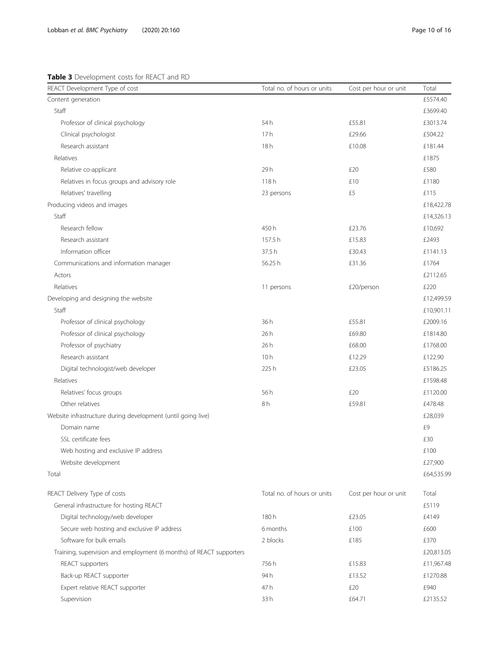# <span id="page-9-0"></span>Table 3 Development costs for REACT and RD

| REACT Development Type of cost                                      | Total no. of hours or units | Cost per hour or unit | Total      |
|---------------------------------------------------------------------|-----------------------------|-----------------------|------------|
| Content generation                                                  |                             |                       | £5574.40   |
| Staff                                                               |                             |                       | £3699.40   |
| Professor of clinical psychology                                    | 54 h                        | £55.81                | £3013.74   |
| Clinical psychologist                                               | 17h                         | £29.66                | £504.22    |
| Research assistant                                                  | 18h                         | £10.08                | £181.44    |
| Relatives                                                           |                             |                       | £1875      |
| Relative co-applicant                                               | 29h                         | £20                   | £580       |
| Relatives in focus groups and advisory role                         | 118h                        | £10                   | £1180      |
| Relatives' travelling                                               | 23 persons                  | £5                    | £115       |
| Producing videos and images                                         |                             |                       | £18,422.78 |
| Staff                                                               |                             |                       | £14,326.13 |
| Research fellow                                                     | 450h                        | £23.76                | £10,692    |
| Research assistant                                                  | 157.5h                      | £15.83                | £2493      |
| Information officer                                                 | 37.5h                       | £30.43                | £1141.13   |
| Communications and information manager                              | 56.25h                      | £31.36                | £1764      |
| Actors                                                              |                             |                       | £2112.65   |
| Relatives                                                           | 11 persons                  | £20/person            | £220       |
| Developing and designing the website                                |                             |                       | £12,499.59 |
| Staff                                                               |                             |                       | £10,901.11 |
| Professor of clinical psychology                                    | 36 h                        | £55.81                | £2009.16   |
| Professor of clinical psychology                                    | 26 h                        | £69.80                | £1814.80   |
| Professor of psychiatry                                             | 26 h                        | £68.00                | £1768.00   |
| Research assistant                                                  | 10h                         | £12.29                | £122.90    |
| Digital technologist/web developer                                  | 225h                        | £23.05                | £5186.25   |
| Relatives                                                           |                             |                       | £1598.48   |
| Relatives' focus groups                                             | 56 h                        | £20                   | £1120.00   |
| Other relatives                                                     | 8h                          | £59.81                | £478.48    |
| Website infrastructure during development (until going live)        |                             |                       | £28,039    |
| Domain name                                                         |                             |                       | £9         |
| SSL certificate fees                                                |                             |                       | £30        |
| Web hosting and exclusive IP address                                |                             |                       | £100       |
| Website development                                                 |                             |                       | £27,900    |
| Total                                                               |                             |                       | £64,535.99 |
| REACT Delivery Type of costs                                        | Total no. of hours or units | Cost per hour or unit | Total      |
| General infrastructure for hosting REACT                            |                             |                       | £5119      |
| Digital technology/web developer                                    | 180h                        | £23.05                | £4149      |
| Secure web hosting and exclusive IP address                         | 6 months                    | £100                  | £600       |
| Software for bulk emails                                            | 2 blocks                    | £185                  | £370       |
| Training, supervision and employment (6 months) of REACT supporters |                             |                       | £20,813.05 |
| REACT supporters                                                    | 756h                        | £15.83                | £11,967.48 |
| Back-up REACT supporter                                             | 94 h                        | £13.52                | £1270.88   |

Expert relative REACT supporter expert of the state of the 47 h and 20 £940 Supervision  $64.71$   $64.71$   $64.71$   $62135.52$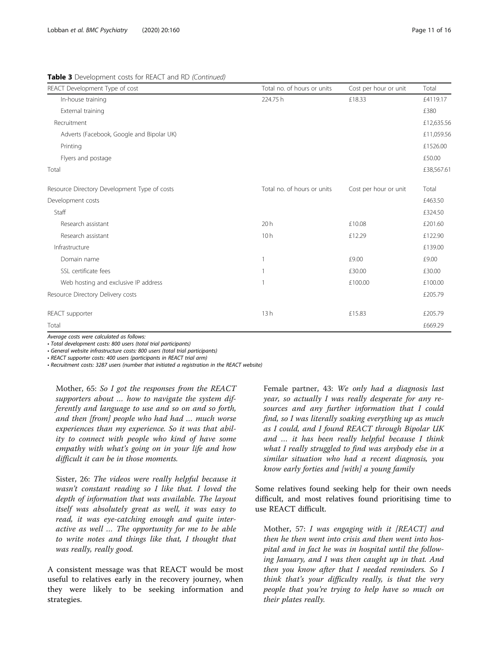| REACT Development Type of cost               | Total no. of hours or units | Cost per hour or unit | Total      |
|----------------------------------------------|-----------------------------|-----------------------|------------|
| In-house training                            | 224.75h                     | £18.33                | £4119.17   |
| External training                            |                             |                       | £380       |
| Recruitment                                  |                             |                       | £12,635.56 |
| Adverts (Facebook, Google and Bipolar UK)    |                             |                       | £11,059.56 |
| Printing                                     |                             |                       | £1526.00   |
| Flyers and postage                           |                             |                       | £50.00     |
| Total                                        |                             |                       | £38,567.61 |
| Resource Directory Development Type of costs | Total no. of hours or units | Cost per hour or unit | Total      |
| Development costs                            |                             |                       | £463.50    |
| Staff                                        |                             |                       | £324.50    |
| Research assistant                           | 20h                         | £10.08                | £201.60    |
| Research assistant                           | 10h                         | £12.29                | £122.90    |
| Infrastructure                               |                             |                       | £139.00    |
| Domain name                                  | 1                           | £9.00                 | £9.00      |
| SSL certificate fees                         | 1                           | £30.00                | £30.00     |
| Web hosting and exclusive IP address         |                             | £100.00               | £100.00    |
| Resource Directory Delivery costs            |                             |                       | £205.79    |
| REACT supporter                              | 13h                         | £15.83                | £205.79    |
| Total                                        |                             |                       | £669.29    |

Average costs were calculated as follows:

• Total development costs: 800 users (total trial participants)

• General website infrastructure costs: 800 users (total trial participants)

• REACT supporter costs: 400 users (participants in REACT trial arm)

• Recruitment costs: 3287 users (number that initiated a registration in the REACT website)

Mother, 65: So I got the responses from the REACT supporters about … how to navigate the system differently and language to use and so on and so forth, and then [from] people who had had ... much worse experiences than my experience. So it was that ability to connect with people who kind of have some empathy with what's going on in your life and how difficult it can be in those moments.

Sister, 26: The videos were really helpful because it wasn't constant reading so I like that. I loved the depth of information that was available. The layout itself was absolutely great as well, it was easy to read, it was eye-catching enough and quite interactive as well … The opportunity for me to be able to write notes and things like that, I thought that was really, really good.

A consistent message was that REACT would be most useful to relatives early in the recovery journey, when they were likely to be seeking information and strategies.

Female partner, 43: We only had a diagnosis last year, so actually I was really desperate for any resources and any further information that I could find, so I was literally soaking everything up as much as I could, and I found REACT through Bipolar UK and … it has been really helpful because I think what I really struggled to find was anybody else in a similar situation who had a recent diagnosis, you know early forties and [with] a young family

Some relatives found seeking help for their own needs difficult, and most relatives found prioritising time to use REACT difficult.

Mother, 57: I was engaging with it [REACT] and then he then went into crisis and then went into hospital and in fact he was in hospital until the following January, and I was then caught up in that. And then you know after that I needed reminders. So I think that's your difficulty really, is that the very people that you're trying to help have so much on their plates really.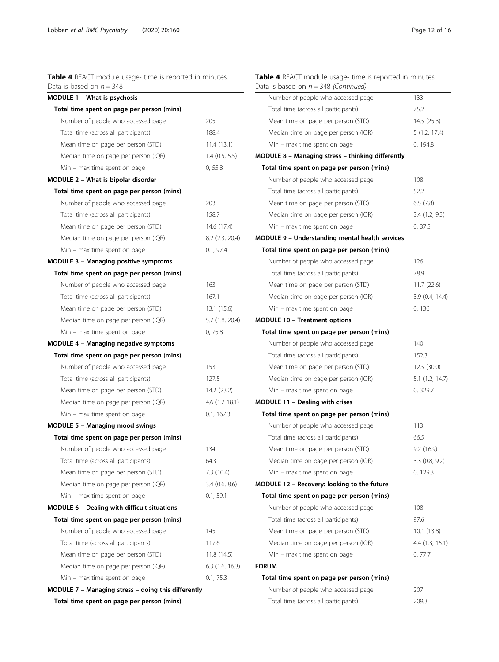# <span id="page-11-0"></span>Table 4 REACT module usage- time is reported in minutes. Data is based on  $n = 348$

| MODULE 1 - What is psychosis                        |                   |
|-----------------------------------------------------|-------------------|
| Total time spent on page per person (mins)          |                   |
| Number of people who accessed page                  | 205               |
| Total time (across all participants)                | 188.4             |
| Mean time on page per person (STD)                  | 11.4(13.1)        |
| Median time on page per person (IQR)                | 1.4(0.5, 5.5)     |
| Min – max time spent on page                        | 0, 55.8           |
| MODULE 2 - What is bipolar disorder                 |                   |
| Total time spent on page per person (mins)          |                   |
| Number of people who accessed page                  | 203               |
| Total time (across all participants)                | 158.7             |
| Mean time on page per person (STD)                  | 14.6 (17.4)       |
| Median time on page per person (IQR)                | $8.2$ (2.3, 20.4) |
| Min – max time spent on page                        | 0.1, 97.4         |
| <b>MODULE 3 - Managing positive symptoms</b>        |                   |
| Total time spent on page per person (mins)          |                   |
| Number of people who accessed page                  | 163               |
| Total time (across all participants)                | 167.1             |
| Mean time on page per person (STD)                  | 13.1 (15.6)       |
| Median time on page per person (IQR)                | 5.7 (1.8, 20.4)   |
| Min – max time spent on page                        | 0,75.8            |
| MODULE 4 - Managing negative symptoms               |                   |
| Total time spent on page per person (mins)          |                   |
| Number of people who accessed page                  | 153               |
| Total time (across all participants)                | 127.5             |
| Mean time on page per person (STD)                  | 14.2 (23.2)       |
| Median time on page per person (IQR)                | 4.6 (1.2 18.1)    |
| Min – max time spent on page                        | 0.1, 167.3        |
| MODULE 5 - Managing mood swings                     |                   |
| Total time spent on page per person (mins)          |                   |
| Number of people who accessed page                  | 134               |
| Total time (across all participants)                | 64.3              |
| Mean time on page per person (STD)                  | 7.3 (10.4)        |
| Median time on page per person (IQR)                | 3.4(0.6, 8.6)     |
| Min - max time spent on page                        | 0.1, 59.1         |
| MODULE 6 - Dealing with difficult situations        |                   |
| Total time spent on page per person (mins)          |                   |
| Number of people who accessed page                  | 145               |
| Total time (across all participants)                | 117.6             |
| Mean time on page per person (STD)                  | 11.8(14.5)        |
| Median time on page per person (IQR)                | 6.3 (1.6, 16.3)   |
| Min – max time spent on page                        | 0.1, 75.3         |
| MODULE 7 - Managing stress - doing this differently |                   |

Total time spent on page per person (mins)

| <b>Table 4</b> REACT module usage-time is reported in minutes.<br>Data is based on $n = 348$ (Continued) |                 |
|----------------------------------------------------------------------------------------------------------|-----------------|
| Number of people who accessed page                                                                       | 133             |
| Total time (across all participants)                                                                     | 75.2            |
| Mean time on page per person (STD)                                                                       | 14.5(25.3)      |
| Median time on page per person (IQR)                                                                     | 5(1.2, 17.4)    |
| Min – max time spent on page                                                                             | 0, 194.8        |
| MODULE 8 - Managing stress - thinking differently                                                        |                 |
| Total time spent on page per person (mins)                                                               |                 |
| Number of people who accessed page                                                                       | 108             |
| Total time (across all participants)                                                                     | 52.2            |
| Mean time on page per person (STD)                                                                       | 6.5(7.8)        |
| Median time on page per person (IQR)                                                                     | 3.4(1.2, 9.3)   |
| Min - max time spent on page                                                                             | 0, 37.5         |
| <b>MODULE 9 - Understanding mental health services</b>                                                   |                 |
| Total time spent on page per person (mins)                                                               |                 |
| Number of people who accessed page                                                                       | 126             |
| Total time (across all participants)                                                                     | 78.9            |
| Mean time on page per person (STD)                                                                       | 11.7(22.6)      |
| Median time on page per person (IQR)                                                                     | 3.9 (0.4, 14.4) |
| Min - max time spent on page                                                                             | 0, 136          |
| <b>MODULE 10 - Treatment options</b>                                                                     |                 |
| Total time spent on page per person (mins)                                                               |                 |
| Number of people who accessed page                                                                       | 140             |
| Total time (across all participants)                                                                     | 152.3           |
| Mean time on page per person (STD)                                                                       | 12.5(30.0)      |
| Median time on page per person (IQR)                                                                     | 5.1(1.2, 14.7)  |
| Min - max time spent on page                                                                             | 0, 329.7        |
| <b>MODULE 11 - Dealing with crises</b>                                                                   |                 |
| Total time spent on page per person (mins)                                                               |                 |
| Number of people who accessed page                                                                       | 113             |
| Total time (across all participants)                                                                     | 66.5            |
| Mean time on page per person (STD)                                                                       | 9.2 (16.9)      |
| Median time on page per person (IQR)                                                                     | 3.3(0.8, 9.2)   |
| Min - max time spent on page                                                                             | 0, 129.3        |
| MODULE 12 - Recovery: looking to the future                                                              |                 |
| Total time spent on page per person (mins)                                                               |                 |
| Number of people who accessed page                                                                       | 108             |
| Total time (across all participants)                                                                     | 97.6            |
| Mean time on page per person (STD)                                                                       | 10.1(13.8)      |
| Median time on page per person (IQR)                                                                     | 4.4(1.3, 15.1)  |
| Min - max time spent on page                                                                             | 0, 77.7         |
| <b>FORUM</b>                                                                                             |                 |
| Total time spent on page per person (mins)                                                               |                 |

| Number of people who accessed page   | 207   |
|--------------------------------------|-------|
| Total time (across all participants) | 209.3 |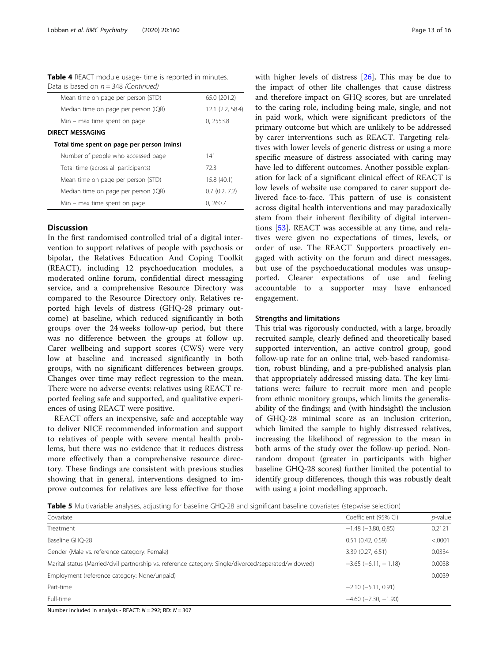<span id="page-12-0"></span>

| <b>Table 4</b> REACT module usage-time is reported in minutes. |  |  |  |
|----------------------------------------------------------------|--|--|--|
| Data is based on $n = 348$ (Continued)                         |  |  |  |

| Mean time on page per person (STD)         | 65.0 (201.2)     |
|--------------------------------------------|------------------|
| Median time on page per person (IQR)       | 12.1 (2.2, 58.4) |
| Min – max time spent on page               | 0, 2553.8        |
| <b>DIRECT MESSAGING</b>                    |                  |
| Total time spent on page per person (mins) |                  |
| Number of people who accessed page         | 141              |
| Total time (across all participants)       | 72.3             |
| Mean time on page per person (STD)         | 15.8(40.1)       |
| Median time on page per person (IQR)       | 0.7(0.2, 7.2)    |
| Min – max time spent on page               | 0, 260.7         |

# **Discussion**

In the first randomised controlled trial of a digital intervention to support relatives of people with psychosis or bipolar, the Relatives Education And Coping Toolkit (REACT), including 12 psychoeducation modules, a moderated online forum, confidential direct messaging service, and a comprehensive Resource Directory was compared to the Resource Directory only. Relatives reported high levels of distress (GHQ-28 primary outcome) at baseline, which reduced significantly in both groups over the 24 weeks follow-up period, but there was no difference between the groups at follow up. Carer wellbeing and support scores (CWS) were very low at baseline and increased significantly in both groups, with no significant differences between groups. Changes over time may reflect regression to the mean. There were no adverse events: relatives using REACT reported feeling safe and supported, and qualitative experiences of using REACT were positive.

REACT offers an inexpensive, safe and acceptable way to deliver NICE recommended information and support to relatives of people with severe mental health problems, but there was no evidence that it reduces distress more effectively than a comprehensive resource directory. These findings are consistent with previous studies showing that in general, interventions designed to improve outcomes for relatives are less effective for those with higher levels of distress [[26\]](#page-14-0), This may be due to the impact of other life challenges that cause distress and therefore impact on GHQ scores, but are unrelated to the caring role, including being male, single, and not in paid work, which were significant predictors of the primary outcome but which are unlikely to be addressed by carer interventions such as REACT. Targeting relatives with lower levels of generic distress or using a more specific measure of distress associated with caring may have led to different outcomes. Another possible explanation for lack of a significant clinical effect of REACT is low levels of website use compared to carer support delivered face-to-face. This pattern of use is consistent across digital health interventions and may paradoxically stem from their inherent flexibility of digital interventions [[53](#page-15-0)]. REACT was accessible at any time, and relatives were given no expectations of times, levels, or order of use. The REACT Supporters proactively engaged with activity on the forum and direct messages, but use of the psychoeducational modules was unsupported. Clearer expectations of use and feeling accountable to a supporter may have enhanced engagement.

#### Strengths and limitations

This trial was rigorously conducted, with a large, broadly recruited sample, clearly defined and theoretically based supported intervention, an active control group, good follow-up rate for an online trial, web-based randomisation, robust blinding, and a pre-published analysis plan that appropriately addressed missing data. The key limitations were: failure to recruit more men and people from ethnic monitory groups, which limits the generalisability of the findings; and (with hindsight) the inclusion of GHQ-28 minimal score as an inclusion criterion, which limited the sample to highly distressed relatives, increasing the likelihood of regression to the mean in both arms of the study over the follow-up period. Nonrandom dropout (greater in participants with higher baseline GHQ-28 scores) further limited the potential to identify group differences, though this was robustly dealt with using a joint modelling approach.

Table 5 Multivariable analyses, adjusting for baseline GHQ-28 and significant baseline covariates (stepwise selection)

| Covariate                                                                                            | Coefficient (95% CI)          | $p$ -value |
|------------------------------------------------------------------------------------------------------|-------------------------------|------------|
| Treatment                                                                                            | $-1.48$ ( $-3.80$ , 0.85)     | 0.2121     |
| Baseline GHQ-28                                                                                      | 0.51(0.42, 0.59)              | < .0001    |
| Gender (Male vs. reference category: Female)                                                         | 3.39 (0.27, 6.51)             | 0.0334     |
| Marital status (Married/civil partnership vs. reference category: Single/divorced/separated/widowed) | $-3.65$ ( $-6.11$ , $-1.18$ ) | 0.0038     |
| Employment (reference category: None/unpaid)                                                         |                               | 0.0039     |
| Part-time                                                                                            | $-2.10$ ( $-5.11$ , 0.91)     |            |
| Full-time                                                                                            | $-4.60$ ( $-7.30$ , $-1.90$ ) |            |
|                                                                                                      |                               |            |

Number included in analysis - REACT:  $N = 292$ ; RD:  $N = 307$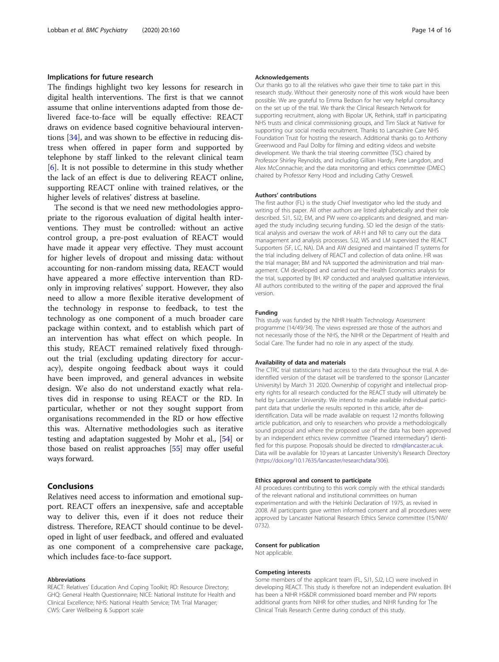# Implications for future research

The findings highlight two key lessons for research in digital health interventions. The first is that we cannot assume that online interventions adapted from those delivered face-to-face will be equally effective: REACT draws on evidence based cognitive behavioural interventions [[34\]](#page-14-0), and was shown to be effective in reducing distress when offered in paper form and supported by telephone by staff linked to the relevant clinical team [[6\]](#page-14-0). It is not possible to determine in this study whether the lack of an effect is due to delivering REACT online, supporting REACT online with trained relatives, or the higher levels of relatives' distress at baseline.

The second is that we need new methodologies appropriate to the rigorous evaluation of digital health interventions. They must be controlled: without an active control group, a pre-post evaluation of REACT would have made it appear very effective. They must account for higher levels of dropout and missing data: without accounting for non-random missing data, REACT would have appeared a more effective intervention than RDonly in improving relatives' support. However, they also need to allow a more flexible iterative development of the technology in response to feedback, to test the technology as one component of a much broader care package within context, and to establish which part of an intervention has what effect on which people. In this study, REACT remained relatively fixed throughout the trial (excluding updating directory for accuracy), despite ongoing feedback about ways it could have been improved, and general advances in website design. We also do not understand exactly what relatives did in response to using REACT or the RD. In particular, whether or not they sought support from organisations recommended in the RD or how effective this was. Alternative methodologies such as iterative testing and adaptation suggested by Mohr et al., [\[54\]](#page-15-0) or those based on realist approaches [\[55\]](#page-15-0) may offer useful ways forward.

# Conclusions

Relatives need access to information and emotional support. REACT offers an inexpensive, safe and acceptable way to deliver this, even if it does not reduce their distress. Therefore, REACT should continue to be developed in light of user feedback, and offered and evaluated as one component of a comprehensive care package, which includes face-to-face support.

#### Abbreviations

REACT: Relatives' Education And Coping Toolkit; RD: Resource Directory; GHQ: General Health Questionnaire; NICE: National Institute for Health and Clinical Excellence; NHS: National Health Service; TM: Trial Manager; CWS: Carer Wellbeing & Support scale

#### Acknowledgements

Our thanks go to all the relatives who gave their time to take part in this research study. Without their generosity none of this work would have been possible. We are grateful to Emma Bedson for her very helpful consultancy on the set up of the trial. We thank the Clinical Research Network for supporting recruitment, along with Bipolar UK, Rethink, staff in participating NHS trusts and clinical commissioning groups, and Tim Slack at Nativve for supporting our social media recruitment. Thanks to Lancashire Care NHS Foundation Trust for hosting the research. Additional thanks go to Anthony Greenwood and Paul Dolby for filming and editing videos and website development. We thank the trial steering committee (TSC) chaired by Professor Shirley Reynolds, and including Gillian Hardy, Pete Langdon, and Alex McConnachie; and the data monitoring and ethics committee (DMEC) chaired by Professor Kerry Hood and including Cathy Creswell.

#### Authors' contributions

The first author (FL) is the study Chief Investigator who led the study and writing of this paper. All other authors are listed alphabetically and their role described. SJ1, SJ2, EM, and PW were co-applicants and designed, and managed the study including securing funding. SD led the design of the statistical analysis and oversaw the work of AR-H and NR to carry out the data management and analysis processes. SJ2, WS and LM supervised the REACT Supporters (SF, LC, NA). DA and AW designed and maintained IT systems for the trial including delivery of REACT and collection of data online. HR was the trial manager; BM and NA supported the administration and trial management. CM developed and carried out the Health Economics analysis for the trial, supported by BH. KP conducted and analysed qualitative interviews. All authors contributed to the writing of the paper and approved the final version.

#### Funding

This study was funded by the NIHR Health Technology Assessment programme (14/49/34). The views expressed are those of the authors and not necessarily those of the NHS, the NIHR or the Department of Health and Social Care. The funder had no role in any aspect of the study.

#### Availability of data and materials

The CTRC trial statisticians had access to the data throughout the trial. A deidentified version of the dataset will be transferred to the sponsor (Lancaster University) by March 31 2020. Ownership of copyright and intellectual property rights for all research conducted for the REACT study will ultimately be held by Lancaster University. We intend to make available individual participant data that underlie the results reported in this article, after deidentification. Data will be made available on request 12 months following article publication, and only to researchers who provide a methodologically sound proposal and where the proposed use of the data has been approved by an independent ethics review committee ("learned intermediary") identified for this purpose. Proposals should be directed to [rdm@lancaster.ac.uk](mailto:rdm@lancaster.ac.uk) Data will be available for 10 years at Lancaster University's Research Directory (<https://doi.org/10.17635/lancaster/researchdata/306>).

# Ethics approval and consent to participate

All procedures contributing to this work comply with the ethical standards of the relevant national and institutional committees on human experimentation and with the Helsinki Declaration of 1975, as revised in 2008. All participants gave written informed consent and all procedures were approved by Lancaster National Research Ethics Service committee (15/NW/ 0732).

#### Consent for publication

Not applicable.

#### Competing interests

Some members of the applicant team (FL, SJ1, SJ2, LC) were involved in developing REACT. This study is therefore not an independent evaluation. BH has been a NIHR HS&DR commissioned board member and PW reports additional grants from NIHR for other studies, and NIHR funding for The Clinical Trials Research Centre during conduct of this study.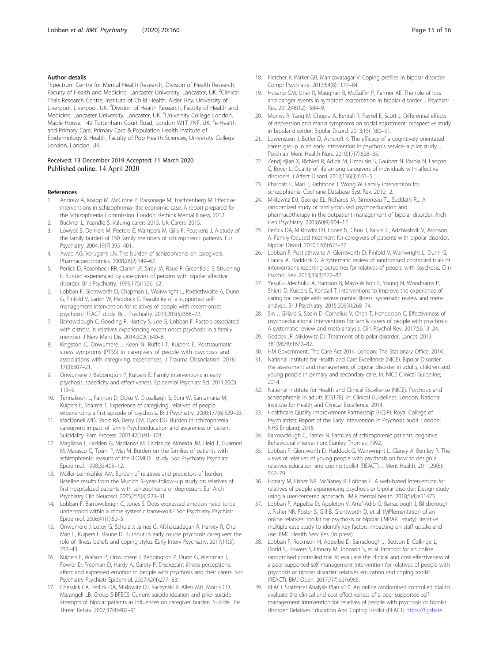## <span id="page-14-0"></span>Author details

<sup>1</sup>Spectrum Centre for Mental Health Research, Division of Health Research, Faculty of Health and Medicine, Lancaster University, Lancaster, UK. <sup>2</sup>Clinical Trials Research Centre, Institute of Child Health, Alder Hey, University of Liverpool, Liverpool, UK. <sup>3</sup>Division of Health Research, Faculty of Health and Medicine, Lancaster University, Lancaster, UK. <sup>4</sup>University College London, Maple House, 149 Tottenham Court Road, London W1T 7NF, UK. <sup>5</sup>e-Health and Primary Care, Primary Care & Population Health Institute of Epidemiology & Health, Faculty of Pop Health Sciences, University College London, London, UK.

# Received: 13 December 2019 Accepted: 11 March 2020

#### References

- 1. Andrew A, Knapp M, McCrone P, Parsonage M, Trachtenberg M. Effective interventions in schizophrenia- the economic case. A report prepared for the Schizophrenia Commission. London: Rethink Mental Illness; 2012.
- 2. Buckner L, Yeandle S. Valuing carers 2015. UK: Carers; 2015.
- 3. Lowyck B, De Hert M, Peeters E, Wampers M, Gilis P, Peuskens J. A study of the family burden of 150 family members of schizophrenic patients. Eur Psychiatry. 2004;19(7):395–401.
- Awad AG, Voruganti LN. The burden of schizophrenia on caregivers. Pharmacoeconomics. 2008;26(2):149–62.
- Perlick D, Rosenheck RR, Clarkin JF, Sirey JA, Raue P, Greenfield S, Struening E. Burden experienced by care-givers of persons with bipolar affective disorder. Br J Psychiatry. 1999;175(1):56–62.
- 6. Lobban F, Glentworth D, Chapman L, Wainwright L, Postlethwaite A, Dunn G, Pinfold V, Larkin W, Haddock G. Feasibility of a supported selfmanagement intervention for relatives of people with recent-onset psychosis: REACT study. Br J Psychiatry. 2013;203(5):366–72.
- 7. Barrowclough C, Gooding P, Hartley S, Lee G, Lobban F. Factors associated with distress in relatives experiencing recent onset psychosis in a family member. J Nerv Ment Dis. 2014;202(1):40–6.
- 8. Kingston C, Onwumere J, Keen N, Ruffell T, Kuipers E. Posttraumatic stress symptoms (PTSS) in caregivers of people with psychosis and associations with caregiving experiences. J Trauma Dissociation. 2016; 17(3):307–21.
- 9. Onwumere J, Bebbington P, Kuipers E. Family interventions in early psychosis: specificity and effectiveness. Epidemiol Psychiatr Sci. 2011;20(2): 113–9.
- 10. Tennakoon L, Fannon D, Doku V, O'ceallaigh S, Soni W, Santamaria M, Kuipers E, Sharma T. Experience of caregiving: relatives of people experiencing a first episode of psychosis. Br J Psychiatry. 2000;177(6):529–33.
- 11. MacDonell MD, Short RA, Berry CM, Dyck DG. Burden in schizophrenia caregivers: impact of family Psychoeducation and awareness of patient Suicidality. Fam Process. 2003;42(1):91–103.
- 12. Magliano L, Fadden G, Madianos M, Caldas de Almeida JM, Held T, Guarneri M, Marasco C, Tosini P, Maj M. Burden on the families of patients with schizophrenia: reasults of the BIOMED I study. Soc Psychiatry Psychiatr Epidemiol. 1998;33:405–12.
- 13. Möller-Leimkühler AM. Burden of relatives and predictors of burden. Baseline results from the Munich 5–year–follow–up study on relatives of first hospitalized patients with schizophrenia or depression. Eur Arch Psychiatry Clin Neurosci. 2005;255(4):223–31.
- 14. Lobban F, Barrowclough C, Jones S. Does expressed emotion need to be understood within a more systemic framework? Soc Psychiatry Psychiatr Epidemiol. 2006;41(1):50–5.
- 15. Onwumere J, Lotey G, Schulz J, James G, Afsharzadegan R, Harvey R, Chu Man L, Kuipers E, Raune D. Burnout in early course psychosis caregivers: the role of illness beliefs and coping styles. Early Interv Psychiatry. 2017;11(3): 237–43.
- 16. Kuipers E, Watson P, Onwumere J, Bebbington P, Dunn G, Weinman J, Fowler D, Freeman D, Hardy A, Garety P. Discrepant illness perceptions, affect and expressed emotion in people with psychosis and their carers. Soc Psychiatry Psychiatr Epidemiol. 2007;42(4):277–83.
- 17. Chessick CA, Perlick DA, Miklowitz DJ, Kaczynski R, Allen MH, Morris CD, Marangell LB, Group S-BFECS. Current suicide ideation and prior suicide attempts of bipolar patients as influences on caregiver burden. Suicide Life Threat Behav. 2007;37(4):482–91.
- 18. Fletcher K, Parker GB, Manicavasagar V. Coping profiles in bipolar disorder. Compr Psychiatry. 2013;54(8):1177–84.
- 19. Hosang GM, Uher R, Maughan B, McGuffin P, Farmer AE. The role of loss and danger events in symptom exacerbation in bipolar disorder. J Psychiatr Res. 2012;46(12):1584–9.
- 20. Morriss R, Yang M, Chopra A, Bentall R, Paykel E, Scott J. Differential effects of depression and mania symptoms on social adjustment: prospective study in bipolar disorder. Bipolar Disord. 2013;15(1):80–91.
- 21. Lowenstein J, Butler D, Ashcroft K. The efficacy of a cognitively orientated carers group in an early intervention in psychosis service–a pilot study. J Psychiatr Ment Health Nurs. 2010;17(7):628–35.
- 22. Zendjidjian X, Richieri R, Adida M, Limousin S, Gaubert N, Parola N, Lançon C, Boyer L. Quality of life among caregivers of individuals with affective disorders. J Affect Disord. 2012;136(3):660–5.
- 23. Pharoah F, Mari J, Rathbone J, Wong W. Family intervention for schizophrenia. Cochrane Database Syst Rev. 2010;12.
- 24. Miklowitz DJ, George EL, Richards JA, Simoneau TL, Suddath RL. A randomized study of family-focused psychoeducation and pharmacotherapy in the outpatient management of bipolar disorder. Arch Gen Psychiatry. 2003;60(9):904–12.
- 25. Perlick DA, Miklowitz DJ, Lopez N, Chou J, Kalvin C, Adzhiashvili V, Aronson A. Family-focused treatment for caregivers of patients with bipolar disorder. Bipolar Disord. 2010;12(6):627–37.
- 26. Lobban F, Postlethwaite A, Glentworth D, Pinfold V, Wainwright L, Dunn G, Clancy A, Haddock G. A systematic review of randomised controlled trials of interventions reporting outcomes for relatives of people with psychosis. Clin Psychol Rev. 2013;33(3):372–82.
- 27. Yesufu-Udechuku A, Harrison B, Mayo-Wilson E, Young N, Woodhams P, Shiers D, Kuipers E, Kendall T. Interventions to improve the experience of caring for people with severe mental illness: systematic review and metaanalysis. Br J Psychiatry. 2015;206(4):268–74.
- 28. Sin J, Gillard S, Spain D, Cornelius V, Chen T, Henderson C. Effectiveness of psychoeducational interventions for family carers of people with psychosis: A systematic review and meta-analysis. Clin Psychol Rev. 2017;56:13–24.
- 29. Geddes JR, Miklowitz DJ. Treatment of bipolar disorder. Lancet. 2013; 381(9878):1672–82.
- 30. HM Government. The Care Act 2014. London: The Stationary Office; 2014.
- 31. National Institute for Health and Care Excellence (NICE). Bipolar Disorder: the assessment and management of bipolar disorder in adults, children and young people in primary and secondary care. In: NICE Clinical Guideline;  $2014.$
- 32. National Institute for Health and Clinical Excellence (NICE). Psychosis and schizophrenia in adults (CG178). In: Clinical Guidelines. London: National Institute for Health and Clinical Excellence; 2014.
- 33. Healthcare Quality Improvement Partnership (HQIP). Royal College of Psychiatrists: Report of the Early Intervention in Psychosis audit. London: NHS England; 2016.
- 34. Barrowclough C, Tarrier N. Families of schizophrenic patients: cognitive Behavioural intervention: Stanley Thornes; 1992.
- 35. Lobban F, Glentworth D, Haddock G, Wainwright L, Clancy A, Bentley R. The views of relatives of young people with psychosis on how to design a relatives education and coping toolkit (REACT). J Ment Health. 2011;20(6): 567–79.
- 36. Honary M, Fisher NR, McNaney R, Lobban F. A web-based intervention for relatives of people experiencing psychosis or bipolar disorder: Design study using a user-centered approach. JMIR mental health. 2018;5(4):e11473.
- 37. Lobban F, Appelbe D, Appleton V, Arref-Adib G, Barraclough J, Billsborough J, Fisher NR, Foster S, Gill B, Glentworth D, et al. IMPlementation of an online relatives' toolkit for psychosis or bipolar (IMPART study): iterative multiple case study to identify key factors impacting on staff uptake and use. BMC Health Serv Res. (in press).
- 38. Lobban F, Robinson H, Appelbe D, Barraclough J, Bedson E, Collinge L, Dodd S, Flowers S, Honary M, Johnson S, et al. Protocol for an online randomised controlled trial to evaluate the clinical and cost-effectiveness of a peer-supported self-management intervention for relatives of people with psychosis or bipolar disorder: relatives education and coping toolkit (REACT). BMJ Open. 2017;7(7):e016965.
- 39. REACT Statistical Analysis Plan v1.0; An online randomised controlled trial to evaluate the clinical and cost effectiveness of a peer supported selfmanagement intervention for relatives of people with psychosis or bipolar disorder: Relatives Education And Coping Toolkit (REACT) [https://figshare.](https://figshare.com/articles/REACT_Statistical_Analysis_Plan_v1_0_An_online_randomised_controlled_trial_to_evaluate_the_clinical_and_cost_effectiveness_of_a_peer_supported_self-management_intervention_for_relatives_of_people_with_psychosis_or_bipolar_disorder_Relatives_Education_And_/4775539)